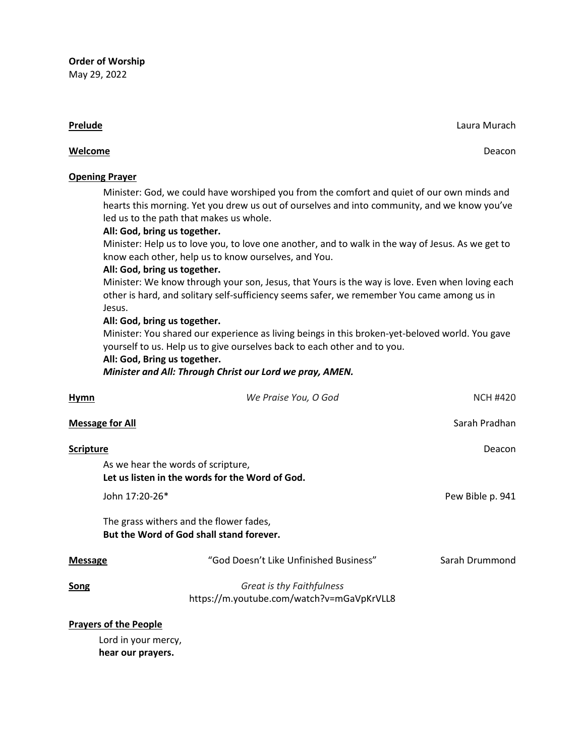#### **Prelude** Laura Murach **Prelude** Laura Murach **Case Communication** Communication Communication Case Laura Murach

## **Welcome** Deacon

## **Opening Prayer**

Minister: God, we could have worshiped you from the comfort and quiet of our own minds and hearts this morning. Yet you drew us out of ourselves and into community, and we know you've led us to the path that makes us whole.

# **All: God, bring us together.**

Minister: Help us to love you, to love one another, and to walk in the way of Jesus. As we get to know each other, help us to know ourselves, and You.

## **All: God, bring us together.**

Minister: We know through your son, Jesus, that Yours is the way is love. Even when loving each other is hard, and solitary self-sufficiency seems safer, we remember You came among us in Jesus.

# **All: God, bring us together.**

Minister: You shared our experience as living beings in this broken-yet-beloved world. You gave yourself to us. Help us to give ourselves back to each other and to you.

## **All: God, Bring us together.**

*Minister and All: Through Christ our Lord we pray, AMEN.*

| Hymn             | We Praise You, O God                                                                  | <b>NCH #420</b>  |
|------------------|---------------------------------------------------------------------------------------|------------------|
|                  | <b>Message for All</b>                                                                | Sarah Pradhan    |
| <b>Scripture</b> |                                                                                       | Deacon           |
|                  | As we hear the words of scripture,<br>Let us listen in the words for the Word of God. |                  |
|                  | John 17:20-26*                                                                        | Pew Bible p. 941 |
|                  | The grass withers and the flower fades,<br>But the Word of God shall stand forever.   |                  |
| <b>Message</b>   | "God Doesn't Like Unfinished Business"                                                | Sarah Drummond   |
| <b>Song</b>      | Great is thy Faithfulness<br>https://m.youtube.com/watch?v=mGaVpKrVLL8                |                  |
|                  | <b>Prayers of the People</b>                                                          |                  |

Lord in your mercy, **hear our prayers.**